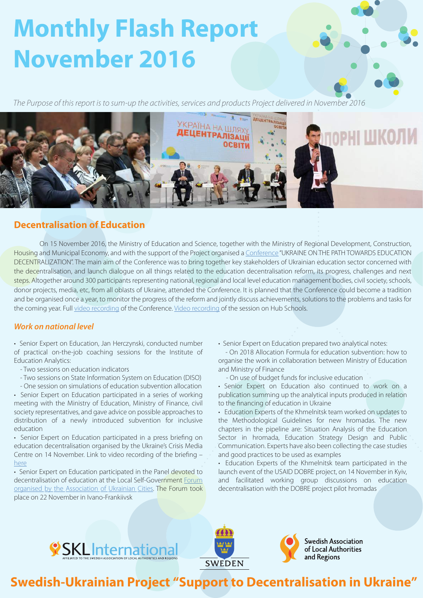# **Monthly Flash Report November 2016**

*The Purpose of this report is to sum-up the activities, services and products Project delivered in November 2016*



# **Decentralisation of Education**

On 15 November 2016, the Ministry of Education and Science, together with the Ministry of Regional Development, Construction, Housing and Municipal Economy, and with the support of the Project organised a [Conference](http://sklinternational.org.ua/ua/reform/) "UKRAINE ON THE PATH TOWARDS EDUCATION DECENTRALIZATION". The main aim of the Conference was to bring together key stakeholders of Ukrainian education sector concerned with the decentralisation, and launch dialogue on all things related to the education decentralisation reform, its progress, challenges and next steps. Altogether around 300 participants representing national, regional and local level education management bodies, civil society, schools, donor projects, media, etc, from all oblasts of Ukraine, attended the Conference. It is planned that the Conference could become a tradition and be organised once a year, to monitor the progress of the reform and jointly discuss achievements, solutions to the problems and tasks for the coming year. Full [video recording](https://www.youtube.com/watch?v=QLHY9ex90m8) of the Conference. [Video recording](https://www.facebook.com/DSPUkraine/videos/912850118859656/) of the session on Hub Schools.

# *Work on national level*

• Senior Expert on Education, Jan Herczynski, conducted number of practical on-the-job coaching sessions for the Institute of Education Analytics:

- Two sessions on education indicators
- Two sessions on State Information System on Education (DISO) - One session on simulations of education subvention allocation

• Senior Expert on Education participated in a series of working meeting with the Ministry of Education, Ministry of Finance, civil society representatives, and gave advice on possible approaches to distribution of a newly introduced subvention for inclusive education

• Senior Expert on Education participated in a press briefing on education decentralisation organised by the Ukraine's Crisis Media Centre on 14 November. Link to video recording of the briefing – [here](https://www.youtube.com/watch?v=2j26ujFfrf4)

• Senior Expert on Education participated in the Panel devoted to decentralisation of education at the Local Self-Government Forum [organised by the Association of Ukrainian Cities. The Forum took](http://www.auc.org.ua/novyna/v-ivano-frankivsku-proyshov-forum-miscevogo-samovryaduvannya-sektoralni-reformy-v-pryzmi) place on 22 November in Ivano-Frankiivsk

• Senior Expert on Education prepared two analytical notes:

 - On 2018 Allocation Formula for education subvention: how to organise the work in collaboration between Ministry of Education and Ministry of Finance

- On use of budget funds for inclusive education

• Senior Expert on Education also continued to work on a publication summing up the analytical inputs produced in relation to the financing of education in Ukraine

• Education Experts of the Khmelnitsk team worked on updates to the Methodological Guidelines for new hromadas. The new chapters in the pipeline are: Situation Analysis of the Education Sector in hromada, Education Strategy Design and Public Communication. Experts have also been collecting the case studies and good practices to be used as examples

• Education Experts of the Khmelnitsk team participated in the launch event of the USAID DOBRE project, on 14 November in Kyiv, and facilitated working group discussions on education decentralisation with the DOBRE project pilot hromadas







**Swedish Association General Authorities**<br>and Regions

# **Swedish-Ukrainian Project "Support to Decentralisation in Ukraine"**